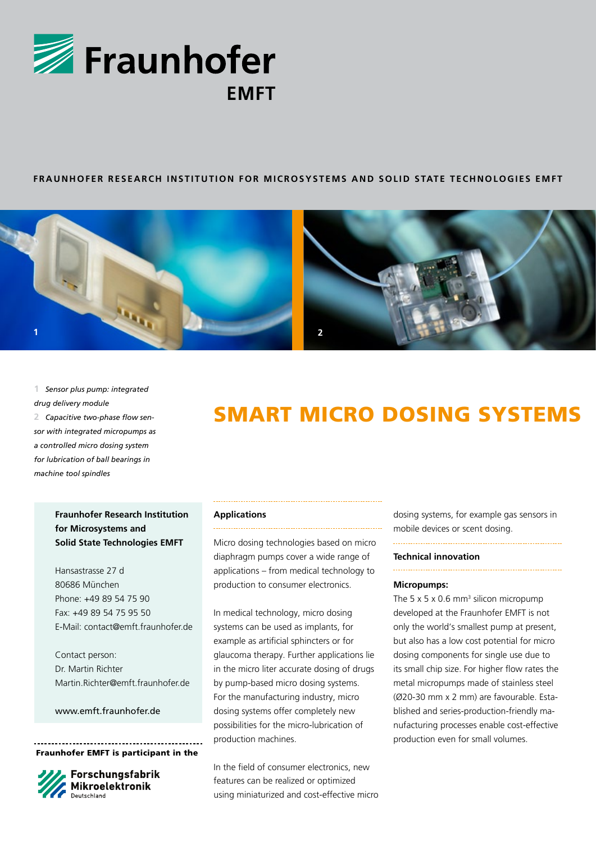

## **FRAUNHOFER RESEARCH INSTITUTION FOR MICROSYSTEMS AND SOLID STATE TECHNOLOGIES EMFT**



**1** *Sensor plus pump: integrated drug delivery module*

**2** *Capacitive two-phase flow sensor with integrated micropumps as a controlled micro dosing system for lubrication of ball bearings in machine tool spindles*

# Smart Micro dosing Systems

# **Fraunhofer Research Institution for Microsystems and Solid State Technologies EMFT**

Hansastrasse 27 d 80686 München Phone: +49 89 54 75 90 Fax: +49 89 54 75 95 50 E-Mail: contact@emft.fraunhofer.de

Contact person: Dr. Martin Richter Martin.Richter@emft.fraunhofer.de

www.emft.fraunhofer.de

Fraunhofer EMFT is participant in the



Forschungsfabrik<br>Mikroelektronik

### **Applications**

Micro dosing technologies based on micro diaphragm pumps cover a wide range of applications – from medical technology to production to consumer electronics.

In medical technology, micro dosing systems can be used as implants, for example as artificial sphincters or for glaucoma therapy. Further applications lie in the micro liter accurate dosing of drugs by pump-based micro dosing systems. For the manufacturing industry, micro dosing systems offer completely new possibilities for the micro-lubrication of production machines.

In the field of consumer electronics, new features can be realized or optimized using miniaturized and cost-effective micro dosing systems, for example gas sensors in mobile devices or scent dosing.

### **Technical innovation**

# **Micropumps:**

The 5  $\times$  5  $\times$  0.6 mm<sup>3</sup> silicon micropump developed at the Fraunhofer EMFT is not only the world's smallest pump at present, but also has a low cost potential for micro dosing components for single use due to its small chip size. For higher flow rates the metal micropumps made of stainless steel (Ø20-30 mm x 2 mm) are favourable. Established and series-production-friendly manufacturing processes enable cost-effective production even for small volumes.